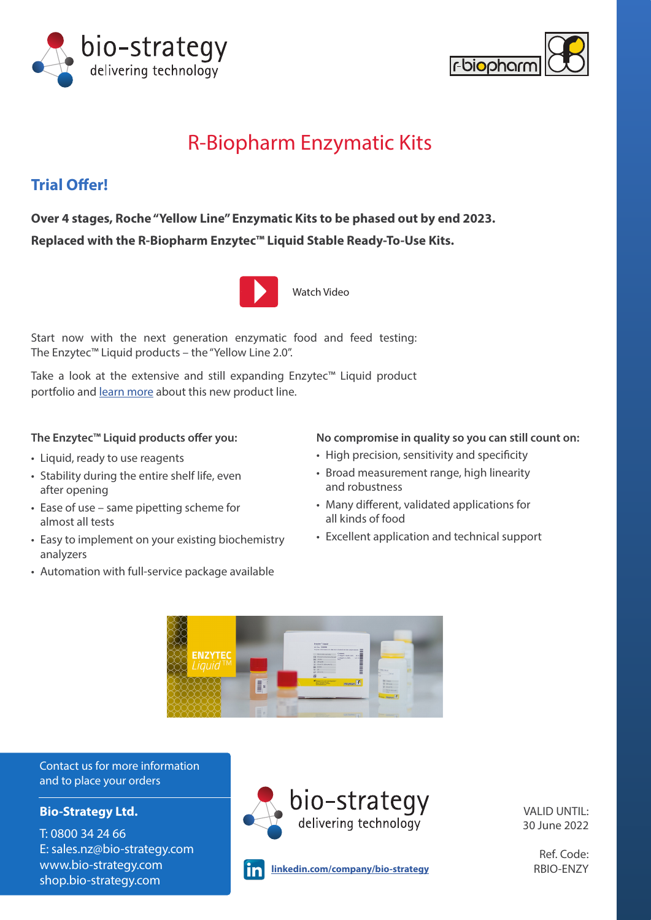



# R-Biopharm Enzymatic Kits

# **Trial Offer!**

**Over 4 stages, Roche "Yellow Line" Enzymatic Kits to be phased out by end 2023. Replaced with the R-Biopharm Enzytec™ Liquid Stable Ready-To-Use Kits.**



[Watch Video](https://youtu.be/fQwfQo9o15c)

Start now with the next generation enzymatic food and feed testing: The Enzytec™ Liquid products – the "Yellow Line 2.0".

Take a look at the extensive and still expanding Enzytec™ Liquid product portfolio and [learn more](https://food.r-biopharm.com/news/can-you-improve-a-gold-standard-method/) about this new product line.

## **The Enzytec™ Liquid products offer you:**

- Liquid, ready to use reagents
- Stability during the entire shelf life, even after opening
- Ease of use same pipetting scheme for almost all tests
- Easy to implement on your existing biochemistry analyzers
- Automation with full-service package available

## **No compromise in quality so you can still count on:**

- High precision, sensitivity and specificity
- Broad measurement range, high linearity and robustness
- Many different, validated applications for all kinds of food
- Excellent application and technical support



Contact us for more information and to place your orders

# **Bio-Strategy Ltd.**

T: 0800 34 24 66 E: sales.nz@bio-strategy.com www.bio-strategy.com shop.bio-strategy.com



VALID UNTIL: 30 June 2022

**linkedin.com/company/bio-strategy** RBIO-ENZY lin

Ref. Code: